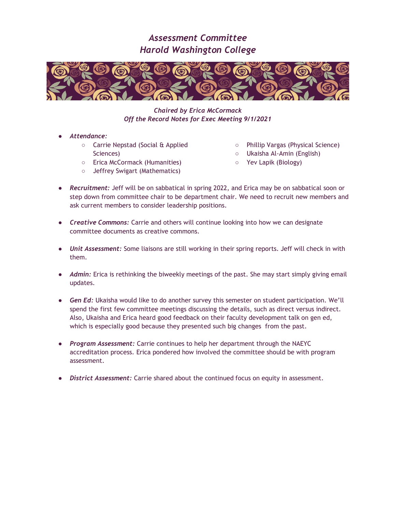

*Chaired by Erica McCormack Off the Record Notes for Exec Meeting 9/1/2021*

- *Attendance:*
	- Carrie Nepstad (Social & Applied Sciences)
	- Erica McCormack (Humanities)
	- Jeffrey Swigart (Mathematics)
- Phillip Vargas (Physical Science)
- Ukaisha Al-Amin (English)
- Yev Lapik (Biology)
- *Recruitment:* Jeff will be on sabbatical in spring 2022, and Erica may be on sabbatical soon or step down from committee chair to be department chair. We need to recruit new members and ask current members to consider leadership positions.
- *Creative Commons:* Carrie and others will continue looking into how we can designate committee documents as creative commons.
- *Unit Assessment:* Some liaisons are still working in their spring reports. Jeff will check in with them.
- *Admin:* Erica is rethinking the biweekly meetings of the past. She may start simply giving email updates.
- *Gen Ed:* Ukaisha would like to do another survey this semester on student participation. We'll spend the first few committee meetings discussing the details, such as direct versus indirect. Also, Ukaisha and Erica heard good feedback on their faculty development talk on gen ed, which is especially good because they presented such big changes from the past.
- *Program Assessment:* Carrie continues to help her department through the NAEYC accreditation process. Erica pondered how involved the committee should be with program assessment.
- *District Assessment:* Carrie shared about the continued focus on equity in assessment.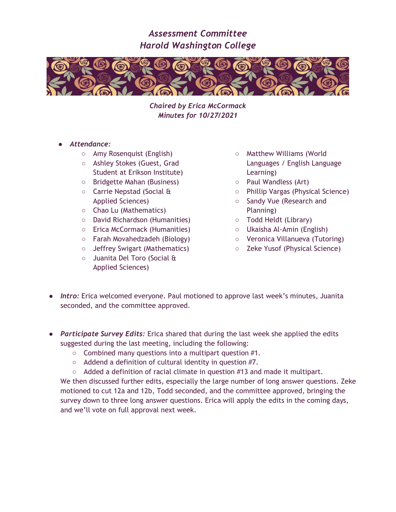

*Chaired by Erica McCormack Minutes for 10/27/2021*

- *Attendance:*
	- Amy Rosenquist (English)
	- Ashley Stokes (Guest, Grad Student at Erikson Institute)
	- Bridgette Mahan (Business)
	- Carrie Nepstad (Social & Applied Sciences)
	- Chao Lu (Mathematics)
	- David Richardson (Humanities)
	- Erica McCormack (Humanities)
	- Farah Movahedzadeh (Biology)
	- Jeffrey Swigart (Mathematics)
	- Juanita Del Toro (Social & Applied Sciences)
- Matthew Williams (World Languages / English Language Learning)
- Paul Wandless (Art)
- Phillip Vargas (Physical Science)
- Sandy Vue (Research and Planning)
- Todd Heldt (Library)
- Ukaisha Al-Amin (English)
- Veronica Villanueva (Tutoring)
- Zeke Yusof (Physical Science)
- *Intro:* Erica welcomed everyone. Paul motioned to approve last week's minutes, Juanita seconded, and the committee approved.
- *Participate Survey Edits:* Erica shared that during the last week she applied the edits suggested during the last meeting, including the following:
	- $\circ$  Combined many questions into a multipart question #1.
	- Addend a definition of cultural identity in question #7.
	- $\circ$  Added a definition of racial climate in question #13 and made it multipart.

We then discussed further edits, especially the large number of long answer questions. Zeke motioned to cut 12a and 12b, Todd seconded, and the committee approved, bringing the survey down to three long answer questions. Erica will apply the edits in the coming days, and we'll vote on full approval next week.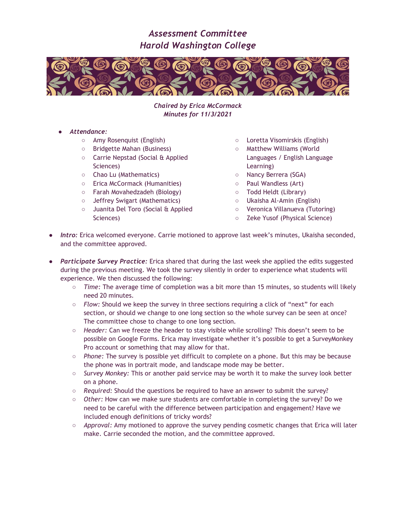

*Chaired by Erica McCormack Minutes for 11/3/2021*

- *Attendance:*
	- Amy Rosenquist (English)
	- Bridgette Mahan (Business)
	- Carrie Nepstad (Social & Applied Sciences)
	- Chao Lu (Mathematics)
	- Erica McCormack (Humanities)
	- Farah Movahedzadeh (Biology)
	- Jeffrey Swigart (Mathematics)
	- Juanita Del Toro (Social & Applied Sciences)
- Loretta Visomirskis (English)
- Matthew Williams (World Languages / English Language Learning)
- Nancy Berrera (SGA)
- Paul Wandless (Art)
- Todd Heldt (Library)
- Ukaisha Al-Amin (English)
- Veronica Villanueva (Tutoring)
- Zeke Yusof (Physical Science)
- *Intro:* Erica welcomed everyone. Carrie motioned to approve last week's minutes, Ukaisha seconded, and the committee approved.
- *Participate Survey Practice:* Erica shared that during the last week she applied the edits suggested during the previous meeting. We took the survey silently in order to experience what students will experience. We then discussed the following:
	- *Time:* The average time of completion was a bit more than 15 minutes, so students will likely need 20 minutes.
	- *Flow:* Should we keep the survey in three sections requiring a click of "next" for each section, or should we change to one long section so the whole survey can be seen at once? The committee chose to change to one long section.
	- *Header:* Can we freeze the header to stay visible while scrolling? This doesn't seem to be possible on Google Forms. Erica may investigate whether it's possible to get a SurveyMonkey Pro account or something that may allow for that.
	- *Phone:* The survey is possible yet difficult to complete on a phone. But this may be because the phone was in portrait mode, and landscape mode may be better.
	- *Survey Monkey:* This or another paid service may be worth it to make the survey look better on a phone.
	- *Required:* Should the questions be required to have an answer to submit the survey?
	- *Other:* How can we make sure students are comfortable in completing the survey? Do we need to be careful with the difference between participation and engagement? Have we included enough definitions of tricky words?
	- *Approval:* Amy motioned to approve the survey pending cosmetic changes that Erica will later make. Carrie seconded the motion, and the committee approved.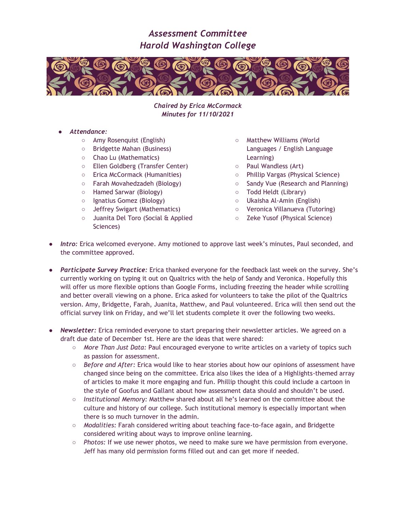

*Chaired by Erica McCormack Minutes for 11/10/2021*

- *Attendance:*
	- Amy Rosenquist (English)
	- Bridgette Mahan (Business)
	- Chao Lu (Mathematics)
	- Ellen Goldberg (Transfer Center)
	- Erica McCormack (Humanities)
	- Farah Movahedzadeh (Biology)
	- Hamed Sarwar (Biology)
	- Ignatius Gomez (Biology)
	- Jeffrey Swigart (Mathematics)
	- Juanita Del Toro (Social & Applied Sciences)
- Matthew Williams (World Languages / English Language Learning)
- Paul Wandless (Art)
- Phillip Vargas (Physical Science)
- Sandy Vue (Research and Planning)
- Todd Heldt (Library)
- Ukaisha Al-Amin (English)
- Veronica Villanueva (Tutoring)
- Zeke Yusof (Physical Science)
- *Intro:* Erica welcomed everyone. Amy motioned to approve last week's minutes, Paul seconded, and the committee approved.
- *Participate Survey Practice:* Erica thanked everyone for the feedback last week on the survey. She's currently working on typing it out on Qualtrics with the help of Sandy and Veronica. Hopefully this will offer us more flexible options than Google Forms, including freezing the header while scrolling and better overall viewing on a phone. Erica asked for volunteers to take the pilot of the Qualtrics version. Amy, Bridgette, Farah, Juanita, Matthew, and Paul volunteered. Erica will then send out the official survey link on Friday, and we'll let students complete it over the following two weeks.
- *Newsletter:* Erica reminded everyone to start preparing their newsletter articles. We agreed on a draft due date of December 1st. Here are the ideas that were shared:
	- *More Than Just Data:* Paul encouraged everyone to write articles on a variety of topics such as passion for assessment.
	- *Before and After:* Erica would like to hear stories about how our opinions of assessment have changed since being on the committee. Erica also likes the idea of a Highlights-themed array of articles to make it more engaging and fun. Phillip thought this could include a cartoon in the style of Goofus and Gallant about how assessment data should and shouldn't be used.
	- *Institutional Memory:* Matthew shared about all he's learned on the committee about the culture and history of our college. Such institutional memory is especially important when there is so much turnover in the admin.
	- *Modalities:* Farah considered writing about teaching face-to-face again, and Bridgette considered writing about ways to improve online learning.
	- *Photos:* If we use newer photos, we need to make sure we have permission from everyone. Jeff has many old permission forms filled out and can get more if needed.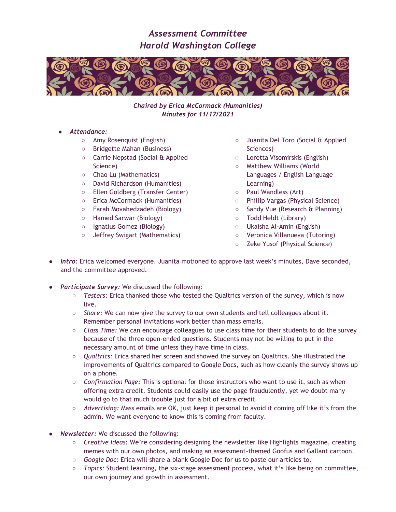

*Chaired by Erica McCormack (Humanities) Minutes for 11/17/2021*

- *Attendance:*
	- Amy Rosenquist (English)
	- Bridgette Mahan (Business)
	- Carrie Nepstad (Social & Applied Science)
	- Chao Lu (Mathematics)
	- David Richardson (Humanities)
	- Ellen Goldberg (Transfer Center)
	- Erica McCormack (Humanities)
	- Farah Movahedzadeh (Biology)
	- Hamed Sarwar (Biology)
	- Ignatius Gomez (Biology)
	- Jeffrey Swigart (Mathematics)
- Juanita Del Toro (Social & Applied Sciences)
- Loretta Visomirskis (English)
- Matthew Williams (World Languages / English Language Learning)
- Paul Wandless (Art)
- Phillip Vargas (Physical Science)
- Sandy Vue (Research & Planning)
- Todd Heldt (Library)
- Ukaisha Al-Amin (English)
- Veronica Villanueva (Tutoring)
- Zeke Yusof (Physical Science)
- *Intro:* Erica welcomed everyone. Juanita motioned to approve last week's minutes, Dave seconded, and the committee approved.
- *Participate Survey:* We discussed the following:
	- *Testers:* Erica thanked those who tested the Qualtrics version of the survey, which is now live.
	- *Share:* We can now give the survey to our own students and tell colleagues about it. Remember personal invitations work better than mass emails.
	- *Class Time:* We can encourage colleagues to use class time for their students to do the survey because of the three open-ended questions. Students may not be willing to put in the necessary amount of time unless they have time in class.
	- *Qualtrics:* Erica shared her screen and showed the survey on Qualtrics. She illustrated the improvements of Qualtrics compared to Google Docs, such as how cleanly the survey shows up on a phone.
	- *Confirmation Page:* This is optional for those instructors who want to use it, such as when offering extra credit. Students could easily use the page fraudulently, yet we doubt many would go to that much trouble just for a bit of extra credit.
	- *Advertising:* Mass emails are OK, just keep it personal to avoid it coming off like it's from the admin. We want everyone to know this is coming from faculty.
- **Newsletter:** We discussed the following:
	- *Creative Ideas:* We're considering designing the newsletter like Highlights magazine, creating memes with our own photos, and making an assessment-themed Goofus and Gallant cartoon.
	- *Google Doc:* Erica will share a blank Google Doc for us to paste our articles to.
	- *Topics:* Student learning, the six-stage assessment process, what it's like being on committee, our own journey and growth in assessment.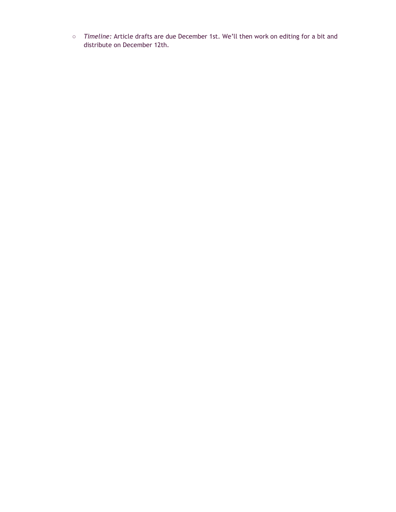○ *Timeline:* Article drafts are due December 1st. We'll then work on editing for a bit and distribute on December 12th.